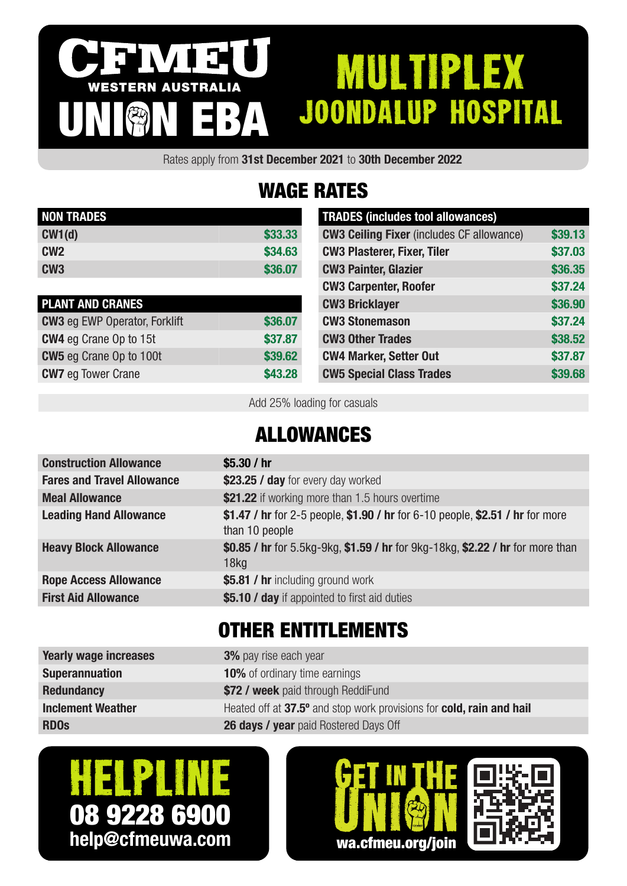#### IVI 3 MULTIPLEX WESTERN AUSTRALIA JOONDALUP HOSPITAL UNION EBA

Rates apply from 31st December 2021 to 30th December 2022

# WAGE RATES

| <b>NON TRADES</b> |         |
|-------------------|---------|
| CW1(d)            | \$33,33 |
| CW <sub>2</sub>   | \$34.63 |
| CW <sub>3</sub>   | \$36,07 |

| <b>PLANT AND CRANES</b>              |         |
|--------------------------------------|---------|
| <b>CW3</b> eg EWP Operator, Forklift | \$36.07 |
| <b>CW4</b> eg Crane Op to 15t        | \$37.87 |
| <b>CW5</b> eg Crane Op to 100t       | \$39,62 |
| <b>CW7</b> eg Tower Crane            | \$43.28 |

| <b>TRADES (includes tool allowances)</b>         |         |
|--------------------------------------------------|---------|
| <b>CW3 Ceiling Fixer (includes CF allowance)</b> | \$39.13 |
| <b>CW3 Plasterer, Fixer, Tiler</b>               | \$37.03 |
| <b>CW3 Painter, Glazier</b>                      | \$36.35 |
| <b>CW3 Carpenter, Roofer</b>                     | \$37.24 |
| <b>CW3 Bricklayer</b>                            | \$36.90 |
| <b>CW3 Stonemason</b>                            | \$37.24 |
| <b>CW3 Other Trades</b>                          | \$38.52 |
| <b>CW4 Marker, Setter Out</b>                    | \$37.87 |
| <b>CW5 Special Class Trades</b>                  | \$39.68 |

Add 25% loading for casuals

### ALLOWANCES

| <b>Construction Allowance</b>     | \$5.30 $/$ hr                                                                                      |
|-----------------------------------|----------------------------------------------------------------------------------------------------|
| <b>Fares and Travel Allowance</b> | \$23.25 / day for every day worked                                                                 |
| <b>Meal Allowance</b>             | \$21.22 if working more than 1.5 hours overtime                                                    |
| <b>Leading Hand Allowance</b>     | \$1.47 / hr for 2-5 people, \$1.90 / hr for 6-10 people, \$2.51 / hr for more<br>than 10 people    |
| <b>Heavy Block Allowance</b>      | \$0.85 / hr for 5.5kg-9kg, \$1.59 / hr for 9kg-18kg, \$2.22 / hr for more than<br>18 <sub>kq</sub> |
| <b>Rope Access Allowance</b>      | \$5.81 / hr including ground work                                                                  |
| <b>First Aid Allowance</b>        | \$5.10 / day if appointed to first aid duties                                                      |
|                                   |                                                                                                    |

### OTHER ENTITLEMENTS

| <b>Yearly wage increases</b> | <b>3%</b> pay rise each year                                         |
|------------------------------|----------------------------------------------------------------------|
| <b>Superannuation</b>        | <b>10%</b> of ordinary time earnings                                 |
| <b>Redundancy</b>            | \$72 / week paid through ReddiFund                                   |
| <b>Inclement Weather</b>     | Heated off at 37.5° and stop work provisions for cold, rain and hail |
| <b>RDOs</b>                  | <b>26 days / year</b> paid Rostered Days Off                         |